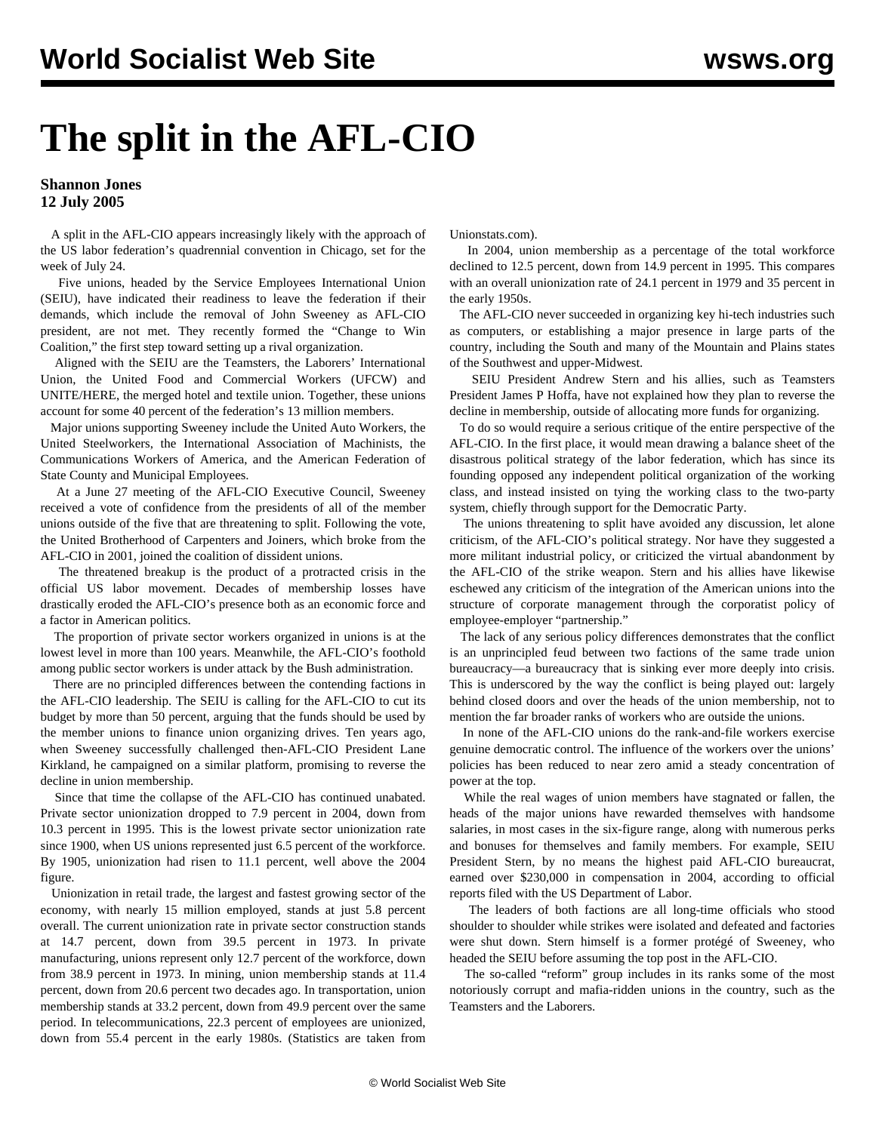# **The split in the AFL-CIO**

## **Shannon Jones 12 July 2005**

 A split in the AFL-CIO appears increasingly likely with the approach of the US labor federation's quadrennial convention in Chicago, set for the week of July 24.

 Five unions, headed by the Service Employees International Union (SEIU), have indicated their readiness to leave the federation if their demands, which include the removal of John Sweeney as AFL-CIO president, are not met. They recently formed the "Change to Win Coalition," the first step toward setting up a rival organization.

 Aligned with the SEIU are the Teamsters, the Laborers' International Union, the United Food and Commercial Workers (UFCW) and UNITE/HERE, the merged hotel and textile union. Together, these unions account for some 40 percent of the federation's 13 million members.

 Major unions supporting Sweeney include the United Auto Workers, the United Steelworkers, the International Association of Machinists, the Communications Workers of America, and the American Federation of State County and Municipal Employees.

 At a June 27 meeting of the AFL-CIO Executive Council, Sweeney received a vote of confidence from the presidents of all of the member unions outside of the five that are threatening to split. Following the vote, the United Brotherhood of Carpenters and Joiners, which broke from the AFL-CIO in 2001, joined the coalition of dissident unions.

 The threatened breakup is the product of a protracted crisis in the official US labor movement. Decades of membership losses have drastically eroded the AFL-CIO's presence both as an economic force and a factor in American politics.

 The proportion of private sector workers organized in unions is at the lowest level in more than 100 years. Meanwhile, the AFL-CIO's foothold among public sector workers is under attack by the Bush administration.

 There are no principled differences between the contending factions in the AFL-CIO leadership. The SEIU is calling for the AFL-CIO to cut its budget by more than 50 percent, arguing that the funds should be used by the member unions to finance union organizing drives. Ten years ago, when Sweeney successfully challenged then-AFL-CIO President Lane Kirkland, he campaigned on a similar platform, promising to reverse the decline in union membership.

 Since that time the collapse of the AFL-CIO has continued unabated. Private sector unionization dropped to 7.9 percent in 2004, down from 10.3 percent in 1995. This is the lowest private sector unionization rate since 1900, when US unions represented just 6.5 percent of the workforce. By 1905, unionization had risen to 11.1 percent, well above the 2004 figure.

 Unionization in retail trade, the largest and fastest growing sector of the economy, with nearly 15 million employed, stands at just 5.8 percent overall. The current unionization rate in private sector construction stands at 14.7 percent, down from 39.5 percent in 1973. In private manufacturing, unions represent only 12.7 percent of the workforce, down from 38.9 percent in 1973. In mining, union membership stands at 11.4 percent, down from 20.6 percent two decades ago. In transportation, union membership stands at 33.2 percent, down from 49.9 percent over the same period. In telecommunications, 22.3 percent of employees are unionized, down from 55.4 percent in the early 1980s. (Statistics are taken from

Unionstats.com).

 In 2004, union membership as a percentage of the total workforce declined to 12.5 percent, down from 14.9 percent in 1995. This compares with an overall unionization rate of 24.1 percent in 1979 and 35 percent in the early 1950s.

 The AFL-CIO never succeeded in organizing key hi-tech industries such as computers, or establishing a major presence in large parts of the country, including the South and many of the Mountain and Plains states of the Southwest and upper-Midwest.

 SEIU President Andrew Stern and his allies, such as Teamsters President James P Hoffa, have not explained how they plan to reverse the decline in membership, outside of allocating more funds for organizing.

 To do so would require a serious critique of the entire perspective of the AFL-CIO. In the first place, it would mean drawing a balance sheet of the disastrous political strategy of the labor federation, which has since its founding opposed any independent political organization of the working class, and instead insisted on tying the working class to the two-party system, chiefly through support for the Democratic Party.

 The unions threatening to split have avoided any discussion, let alone criticism, of the AFL-CIO's political strategy. Nor have they suggested a more militant industrial policy, or criticized the virtual abandonment by the AFL-CIO of the strike weapon. Stern and his allies have likewise eschewed any criticism of the integration of the American unions into the structure of corporate management through the corporatist policy of employee-employer "partnership."

 The lack of any serious policy differences demonstrates that the conflict is an unprincipled feud between two factions of the same trade union bureaucracy—a bureaucracy that is sinking ever more deeply into crisis. This is underscored by the way the conflict is being played out: largely behind closed doors and over the heads of the union membership, not to mention the far broader ranks of workers who are outside the unions.

 In none of the AFL-CIO unions do the rank-and-file workers exercise genuine democratic control. The influence of the workers over the unions' policies has been reduced to near zero amid a steady concentration of power at the top.

 While the real wages of union members have stagnated or fallen, the heads of the major unions have rewarded themselves with handsome salaries, in most cases in the six-figure range, along with numerous perks and bonuses for themselves and family members. For example, SEIU President Stern, by no means the highest paid AFL-CIO bureaucrat, earned over \$230,000 in compensation in 2004, according to official reports filed with the US Department of Labor.

 The leaders of both factions are all long-time officials who stood shoulder to shoulder while strikes were isolated and defeated and factories were shut down. Stern himself is a former protégé of Sweeney, who headed the SEIU before assuming the top post in the AFL-CIO.

 The so-called "reform" group includes in its ranks some of the most notoriously corrupt and mafia-ridden unions in the country, such as the Teamsters and the Laborers.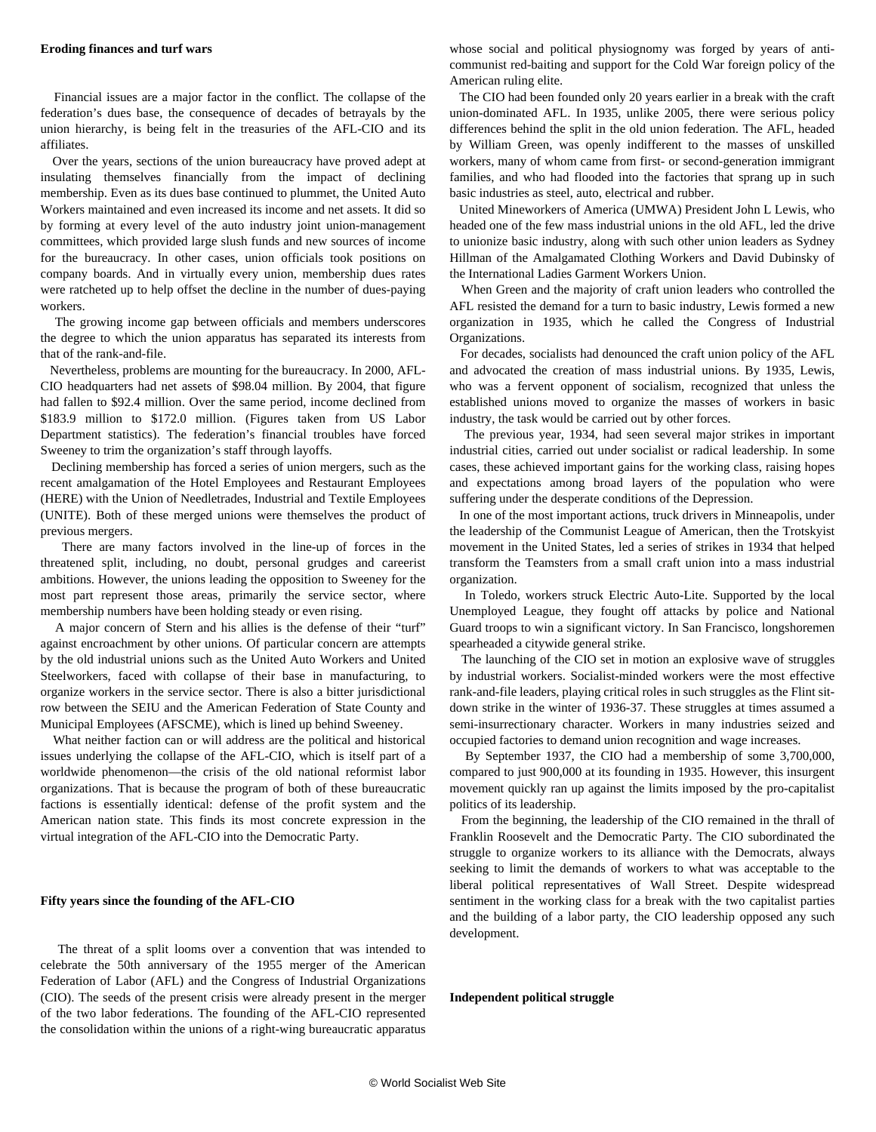#### **Eroding finances and turf wars**

 Financial issues are a major factor in the conflict. The collapse of the federation's dues base, the consequence of decades of betrayals by the union hierarchy, is being felt in the treasuries of the AFL-CIO and its affiliates.

 Over the years, sections of the union bureaucracy have proved adept at insulating themselves financially from the impact of declining membership. Even as its dues base continued to plummet, the United Auto Workers maintained and even increased its income and net assets. It did so by forming at every level of the auto industry joint union-management committees, which provided large slush funds and new sources of income for the bureaucracy. In other cases, union officials took positions on company boards. And in virtually every union, membership dues rates were ratcheted up to help offset the decline in the number of dues-paying workers.

 The growing income gap between officials and members underscores the degree to which the union apparatus has separated its interests from that of the rank-and-file.

 Nevertheless, problems are mounting for the bureaucracy. In 2000, AFL-CIO headquarters had net assets of \$98.04 million. By 2004, that figure had fallen to \$92.4 million. Over the same period, income declined from \$183.9 million to \$172.0 million. (Figures taken from US Labor Department statistics). The federation's financial troubles have forced Sweeney to trim the organization's staff through layoffs.

 Declining membership has forced a series of union mergers, such as the recent amalgamation of the Hotel Employees and Restaurant Employees (HERE) with the Union of Needletrades, Industrial and Textile Employees (UNITE). Both of these merged unions were themselves the product of previous mergers.

 There are many factors involved in the line-up of forces in the threatened split, including, no doubt, personal grudges and careerist ambitions. However, the unions leading the opposition to Sweeney for the most part represent those areas, primarily the service sector, where membership numbers have been holding steady or even rising.

 A major concern of Stern and his allies is the defense of their "turf" against encroachment by other unions. Of particular concern are attempts by the old industrial unions such as the United Auto Workers and United Steelworkers, faced with collapse of their base in manufacturing, to organize workers in the service sector. There is also a bitter jurisdictional row between the SEIU and the American Federation of State County and Municipal Employees (AFSCME), which is lined up behind Sweeney.

 What neither faction can or will address are the political and historical issues underlying the collapse of the AFL-CIO, which is itself part of a worldwide phenomenon—the crisis of the old national reformist labor organizations. That is because the program of both of these bureaucratic factions is essentially identical: defense of the profit system and the American nation state. This finds its most concrete expression in the virtual integration of the AFL-CIO into the Democratic Party.

#### **Fifty years since the founding of the AFL-CIO**

 The threat of a split looms over a convention that was intended to celebrate the 50th anniversary of the 1955 merger of the American Federation of Labor (AFL) and the Congress of Industrial Organizations (CIO). The seeds of the present crisis were already present in the merger of the two labor federations. The founding of the AFL-CIO represented the consolidation within the unions of a right-wing bureaucratic apparatus

whose social and political physiognomy was forged by years of anticommunist red-baiting and support for the Cold War foreign policy of the American ruling elite.

 The CIO had been founded only 20 years earlier in a break with the craft union-dominated AFL. In 1935, unlike 2005, there were serious policy differences behind the split in the old union federation. The AFL, headed by William Green, was openly indifferent to the masses of unskilled workers, many of whom came from first- or second-generation immigrant families, and who had flooded into the factories that sprang up in such basic industries as steel, auto, electrical and rubber.

 United Mineworkers of America (UMWA) President John L Lewis, who headed one of the few mass industrial unions in the old AFL, led the drive to unionize basic industry, along with such other union leaders as Sydney Hillman of the Amalgamated Clothing Workers and David Dubinsky of the International Ladies Garment Workers Union.

 When Green and the majority of craft union leaders who controlled the AFL resisted the demand for a turn to basic industry, Lewis formed a new organization in 1935, which he called the Congress of Industrial Organizations.

 For decades, socialists had denounced the craft union policy of the AFL and advocated the creation of mass industrial unions. By 1935, Lewis, who was a fervent opponent of socialism, recognized that unless the established unions moved to organize the masses of workers in basic industry, the task would be carried out by other forces.

 The previous year, 1934, had seen several major strikes in important industrial cities, carried out under socialist or radical leadership. In some cases, these achieved important gains for the working class, raising hopes and expectations among broad layers of the population who were suffering under the desperate conditions of the Depression.

 In one of the most important actions, truck drivers in Minneapolis, under the leadership of the Communist League of American, then the Trotskyist movement in the United States, led a series of strikes in 1934 that helped transform the Teamsters from a small craft union into a mass industrial organization.

 In Toledo, workers struck Electric Auto-Lite. Supported by the local Unemployed League, they fought off attacks by police and National Guard troops to win a significant victory. In San Francisco, longshoremen spearheaded a citywide general strike.

 The launching of the CIO set in motion an explosive wave of struggles by industrial workers. Socialist-minded workers were the most effective rank-and-file leaders, playing critical roles in such struggles as the Flint sitdown strike in the winter of 1936-37. These struggles at times assumed a semi-insurrectionary character. Workers in many industries seized and occupied factories to demand union recognition and wage increases.

 By September 1937, the CIO had a membership of some 3,700,000, compared to just 900,000 at its founding in 1935. However, this insurgent movement quickly ran up against the limits imposed by the pro-capitalist politics of its leadership.

 From the beginning, the leadership of the CIO remained in the thrall of Franklin Roosevelt and the Democratic Party. The CIO subordinated the struggle to organize workers to its alliance with the Democrats, always seeking to limit the demands of workers to what was acceptable to the liberal political representatives of Wall Street. Despite widespread sentiment in the working class for a break with the two capitalist parties and the building of a labor party, the CIO leadership opposed any such development.

#### **Independent political struggle**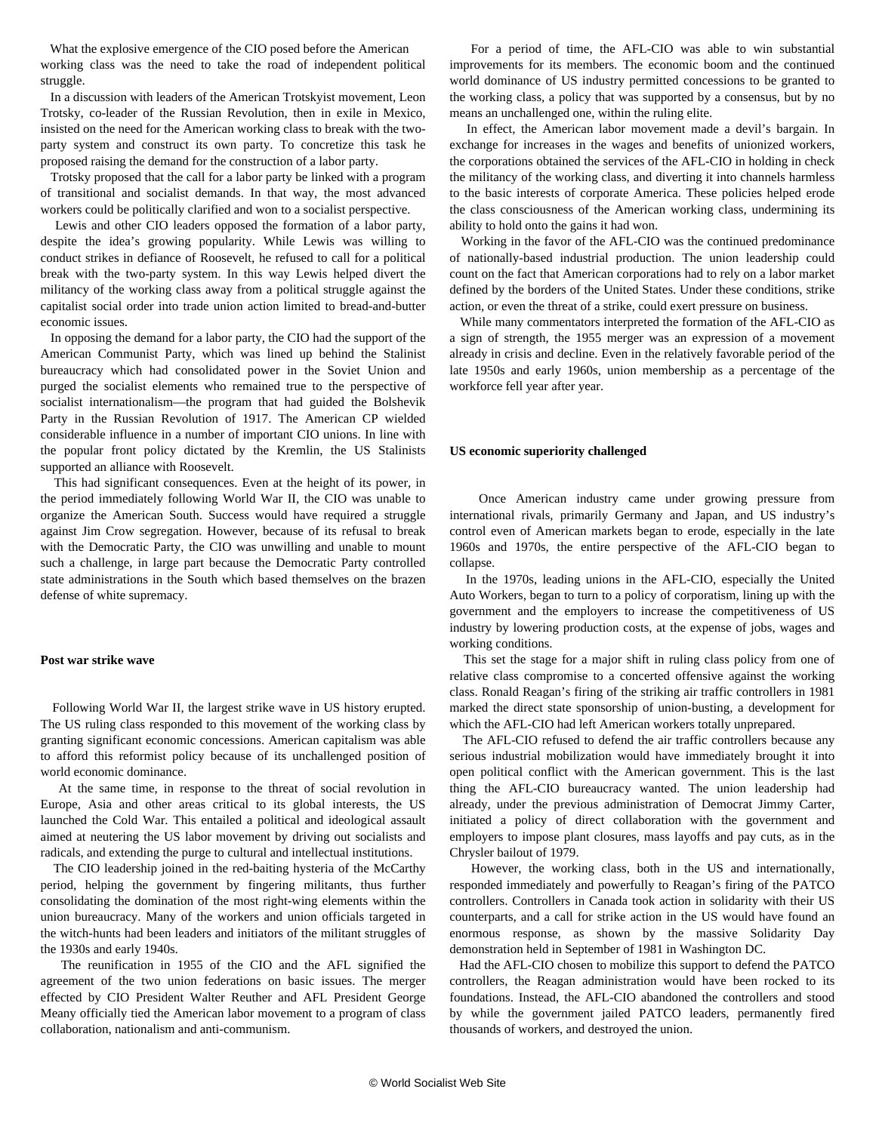What the explosive emergence of the CIO posed before the American working class was the need to take the road of independent political struggle.

 In a discussion with leaders of the American Trotskyist movement, Leon Trotsky, co-leader of the Russian Revolution, then in exile in Mexico, insisted on the need for the American working class to break with the twoparty system and construct its own party. To concretize this task he proposed raising the demand for the construction of a labor party.

 Trotsky proposed that the call for a labor party be linked with a program of transitional and socialist demands. In that way, the most advanced workers could be politically clarified and won to a socialist perspective.

 Lewis and other CIO leaders opposed the formation of a labor party, despite the idea's growing popularity. While Lewis was willing to conduct strikes in defiance of Roosevelt, he refused to call for a political break with the two-party system. In this way Lewis helped divert the militancy of the working class away from a political struggle against the capitalist social order into trade union action limited to bread-and-butter economic issues.

 In opposing the demand for a labor party, the CIO had the support of the American Communist Party, which was lined up behind the Stalinist bureaucracy which had consolidated power in the Soviet Union and purged the socialist elements who remained true to the perspective of socialist internationalism—the program that had guided the Bolshevik Party in the Russian Revolution of 1917. The American CP wielded considerable influence in a number of important CIO unions. In line with the popular front policy dictated by the Kremlin, the US Stalinists supported an alliance with Roosevelt.

 This had significant consequences. Even at the height of its power, in the period immediately following World War II, the CIO was unable to organize the American South. Success would have required a struggle against Jim Crow segregation. However, because of its refusal to break with the Democratic Party, the CIO was unwilling and unable to mount such a challenge, in large part because the Democratic Party controlled state administrations in the South which based themselves on the brazen defense of white supremacy.

#### **Post war strike wave**

 Following World War II, the largest strike wave in US history erupted. The US ruling class responded to this movement of the working class by granting significant economic concessions. American capitalism was able to afford this reformist policy because of its unchallenged position of world economic dominance.

 At the same time, in response to the threat of social revolution in Europe, Asia and other areas critical to its global interests, the US launched the Cold War. This entailed a political and ideological assault aimed at neutering the US labor movement by driving out socialists and radicals, and extending the purge to cultural and intellectual institutions.

 The CIO leadership joined in the red-baiting hysteria of the McCarthy period, helping the government by fingering militants, thus further consolidating the domination of the most right-wing elements within the union bureaucracy. Many of the workers and union officials targeted in the witch-hunts had been leaders and initiators of the militant struggles of the 1930s and early 1940s.

 The reunification in 1955 of the CIO and the AFL signified the agreement of the two union federations on basic issues. The merger effected by CIO President Walter Reuther and AFL President George Meany officially tied the American labor movement to a program of class collaboration, nationalism and anti-communism.

 For a period of time, the AFL-CIO was able to win substantial improvements for its members. The economic boom and the continued world dominance of US industry permitted concessions to be granted to the working class, a policy that was supported by a consensus, but by no means an unchallenged one, within the ruling elite.

 In effect, the American labor movement made a devil's bargain. In exchange for increases in the wages and benefits of unionized workers, the corporations obtained the services of the AFL-CIO in holding in check the militancy of the working class, and diverting it into channels harmless to the basic interests of corporate America. These policies helped erode the class consciousness of the American working class, undermining its ability to hold onto the gains it had won.

 Working in the favor of the AFL-CIO was the continued predominance of nationally-based industrial production. The union leadership could count on the fact that American corporations had to rely on a labor market defined by the borders of the United States. Under these conditions, strike action, or even the threat of a strike, could exert pressure on business.

 While many commentators interpreted the formation of the AFL-CIO as a sign of strength, the 1955 merger was an expression of a movement already in crisis and decline. Even in the relatively favorable period of the late 1950s and early 1960s, union membership as a percentage of the workforce fell year after year.

#### **US economic superiority challenged**

 Once American industry came under growing pressure from international rivals, primarily Germany and Japan, and US industry's control even of American markets began to erode, especially in the late 1960s and 1970s, the entire perspective of the AFL-CIO began to collapse.

 In the 1970s, leading unions in the AFL-CIO, especially the United Auto Workers, began to turn to a policy of corporatism, lining up with the government and the employers to increase the competitiveness of US industry by lowering production costs, at the expense of jobs, wages and working conditions.

 This set the stage for a major shift in ruling class policy from one of relative class compromise to a concerted offensive against the working class. Ronald Reagan's firing of the striking air traffic controllers in 1981 marked the direct state sponsorship of union-busting, a development for which the AFL-CIO had left American workers totally unprepared.

 The AFL-CIO refused to defend the air traffic controllers because any serious industrial mobilization would have immediately brought it into open political conflict with the American government. This is the last thing the AFL-CIO bureaucracy wanted. The union leadership had already, under the previous administration of Democrat Jimmy Carter, initiated a policy of direct collaboration with the government and employers to impose plant closures, mass layoffs and pay cuts, as in the Chrysler bailout of 1979.

 However, the working class, both in the US and internationally, responded immediately and powerfully to Reagan's firing of the PATCO controllers. Controllers in Canada took action in solidarity with their US counterparts, and a call for strike action in the US would have found an enormous response, as shown by the massive Solidarity Day demonstration held in September of 1981 in Washington DC.

 Had the AFL-CIO chosen to mobilize this support to defend the PATCO controllers, the Reagan administration would have been rocked to its foundations. Instead, the AFL-CIO abandoned the controllers and stood by while the government jailed PATCO leaders, permanently fired thousands of workers, and destroyed the union.